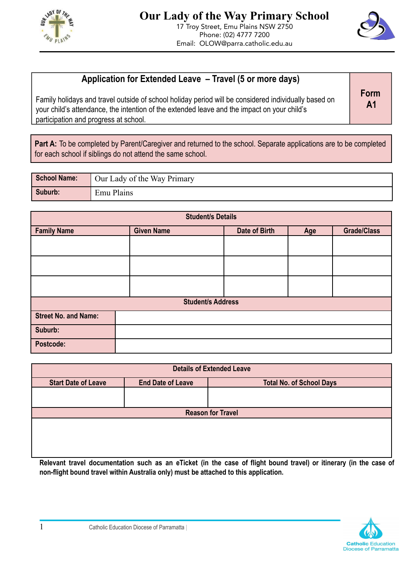



## **Application for Extended Leave – Travel (5 or more days)**

Family holidays and travel outside of school holiday period will be considered individually based on your child's attendance, the intention of the extended leave and the impact on your child's participation and progress at school.

**Form A1**

**Part A:** To be completed by Parent/Caregiver and returned to the school. Separate applications are to be completed for each school if siblings do not attend the same school.

| School Name: | Our Lady of the Way Primary |
|--------------|-----------------------------|
| Suburb:      | Emu Plains                  |

| <b>Student/s Details</b>    |                   |               |     |                    |  |
|-----------------------------|-------------------|---------------|-----|--------------------|--|
| <b>Family Name</b>          | <b>Given Name</b> | Date of Birth | Age | <b>Grade/Class</b> |  |
|                             |                   |               |     |                    |  |
|                             |                   |               |     |                    |  |
|                             |                   |               |     |                    |  |
| <b>Student/s Address</b>    |                   |               |     |                    |  |
| <b>Street No. and Name:</b> |                   |               |     |                    |  |
| Suburb:                     |                   |               |     |                    |  |
| <b>Postcode:</b>            |                   |               |     |                    |  |

| <b>Details of Extended Leave</b> |                          |                                 |  |  |  |  |
|----------------------------------|--------------------------|---------------------------------|--|--|--|--|
| <b>Start Date of Leave</b>       | <b>End Date of Leave</b> | <b>Total No. of School Days</b> |  |  |  |  |
|                                  |                          |                                 |  |  |  |  |
|                                  |                          |                                 |  |  |  |  |
| <b>Reason for Travel</b>         |                          |                                 |  |  |  |  |
|                                  |                          |                                 |  |  |  |  |
|                                  |                          |                                 |  |  |  |  |
|                                  |                          |                                 |  |  |  |  |
|                                  |                          |                                 |  |  |  |  |
|                                  |                          |                                 |  |  |  |  |

Relevant travel documentation such as an eTicket (in the case of flight bound travel) or itinerary (in the case of **non-flight bound travel within Australia only) must be attached to this application.**

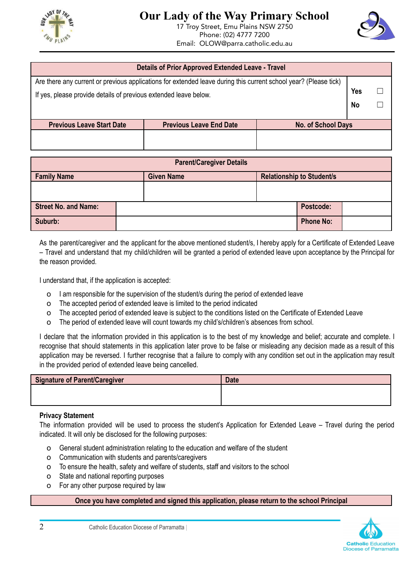



| <b>Details of Prior Approved Extended Leave - Travel</b>                                                         |                                |                    |  |  |  |
|------------------------------------------------------------------------------------------------------------------|--------------------------------|--------------------|--|--|--|
| Are there any current or previous applications for extended leave during this current school year? (Please tick) |                                |                    |  |  |  |
| If yes, please provide details of previous extended leave below.                                                 |                                |                    |  |  |  |
|                                                                                                                  |                                |                    |  |  |  |
|                                                                                                                  |                                |                    |  |  |  |
| <b>Previous Leave Start Date</b>                                                                                 | <b>Previous Leave End Date</b> | No. of School Days |  |  |  |
|                                                                                                                  |                                |                    |  |  |  |
|                                                                                                                  |                                |                    |  |  |  |

| <b>Parent/Caregiver Details</b> |  |                   |                                  |                  |  |
|---------------------------------|--|-------------------|----------------------------------|------------------|--|
| <b>Family Name</b>              |  | <b>Given Name</b> | <b>Relationship to Student/s</b> |                  |  |
|                                 |  |                   |                                  |                  |  |
| <b>Street No. and Name:</b>     |  |                   |                                  | Postcode:        |  |
| Suburb:                         |  |                   |                                  | <b>Phone No:</b> |  |

As the parent/caregiver and the applicant for the above mentioned student/s, I hereby apply for a Certificate of Extended Leave – Travel and understand that my child/children will be granted a period of extended leave upon acceptance by the Principal for the reason provided.

I understand that, if the application is accepted:

- o I am responsible for the supervision of the student/s during the period of extended leave
- o The accepted period of extended leave is limited to the period indicated
- o The accepted period of extended leave is subject to the conditions listed on the Certificate of Extended Leave
- o The period of extended leave will count towards my child's/children's absences from school.

I declare that the information provided in this application is to the best of my knowledge and belief; accurate and complete. I recognise that should statements in this application later prove to be false or misleading any decision made as a result of this application may be reversed. I further recognise that a failure to comply with any condition set out in the application may result in the provided period of extended leave being cancelled.

| Signature of Parent/Caregiver | <b>Date</b> |
|-------------------------------|-------------|
|                               |             |
|                               |             |

## **Privacy Statement**

The information provided will be used to process the student's Application for Extended Leave – Travel during the period indicated. It will only be disclosed for the following purposes:

- o General student administration relating to the education and welfare of the student
- o Communication with students and parents/caregivers
- o To ensure the health, safety and welfare of students, staff and visitors to the school
- o State and national reporting purposes
- o For any other purpose required by law

## **Once you have completed and signed this application, please return to the school Principal**